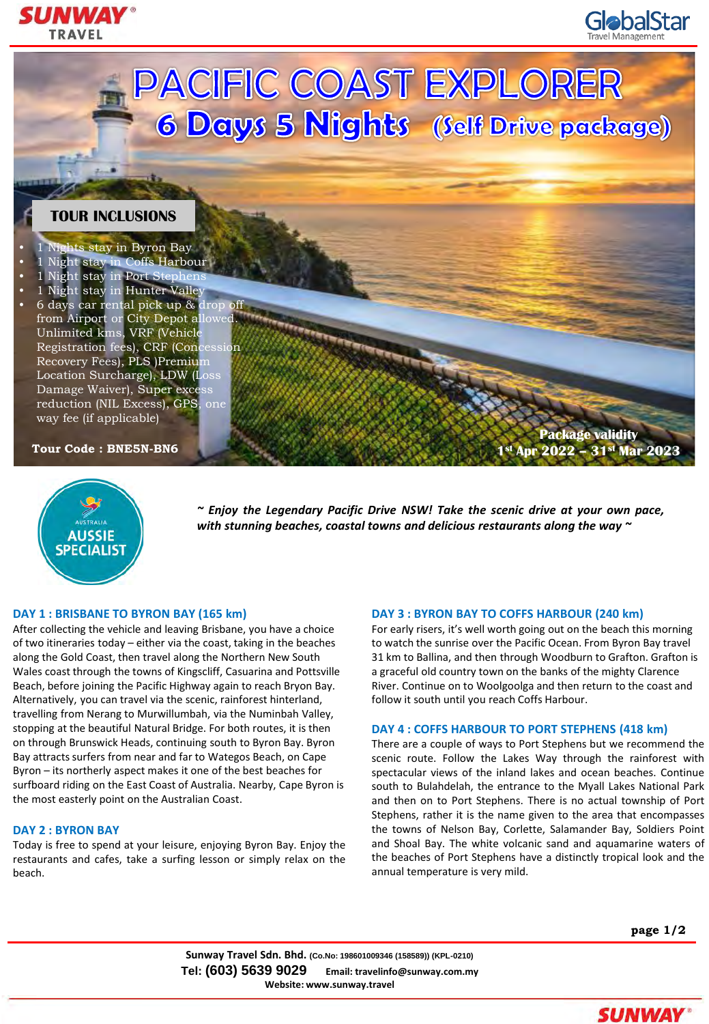







*~ Enjoy the Legendary Pacific Drive NSW! Take the scenic drive at your own pace, with stunning beaches, coastal towns and delicious restaurants along the way ~*

### **DAY 1 : BRISBANE TO BYRON BAY (165 km)**

After collecting the vehicle and leaving Brisbane, you have a choice of two itineraries today – either via the coast, taking in the beaches along the Gold Coast, then travel along the Northern New South Wales coast through the towns of Kingscliff, Casuarina and Pottsville Beach, before joining the Pacific Highway again to reach Bryon Bay. Alternatively, you can travel via the scenic, rainforest hinterland, travelling from Nerang to Murwillumbah, via the Numinbah Valley, stopping at the beautiful Natural Bridge. For both routes, it is then on through Brunswick Heads, continuing south to Byron Bay. Byron Bay attracts surfers from near and far to Wategos Beach, on Cape Byron – its northerly aspect makes it one of the best beaches for surfboard riding on the East Coast of Australia. Nearby, Cape Byron is the most easterly point on the Australian Coast.

#### **DAY 2 : BYRON BAY**

Today is free to spend at your leisure, enjoying Byron Bay. Enjoy the restaurants and cafes, take a surfing lesson or simply relax on the beach.

### **DAY 3 : BYRON BAY TO COFFS HARBOUR (240 km)**

For early risers, it's well worth going out on the beach this morning to watch the sunrise over the Pacific Ocean. From Byron Bay travel 31 km to Ballina, and then through Woodburn to Grafton. Grafton is a graceful old country town on the banks of the mighty Clarence River. Continue on to Woolgoolga and then return to the coast and follow it south until you reach Coffs Harbour.

#### **DAY 4 : COFFS HARBOUR TO PORT STEPHENS (418 km)**

There are a couple of ways to Port Stephens but we recommend the scenic route. Follow the Lakes Way through the rainforest with spectacular views of the inland lakes and ocean beaches. Continue south to Bulahdelah, the entrance to the Myall Lakes National Park and then on to Port Stephens. There is no actual township of Port Stephens, rather it is the name given to the area that encompasses the towns of Nelson Bay, Corlette, Salamander Bay, Soldiers Point and Shoal Bay. The white volcanic sand and aquamarine waters of the beaches of Port Stephens have a distinctly tropical look and the annual temperature is very mild.

**page 1/2**

**Sunway Travel Sdn. Bhd. (Co.No: 198601009346 (158589)) (KPL-0210) Tel: (603) 5639 9029 Email: travelinfo@sunway.com.my Website: www.sunway.travel**